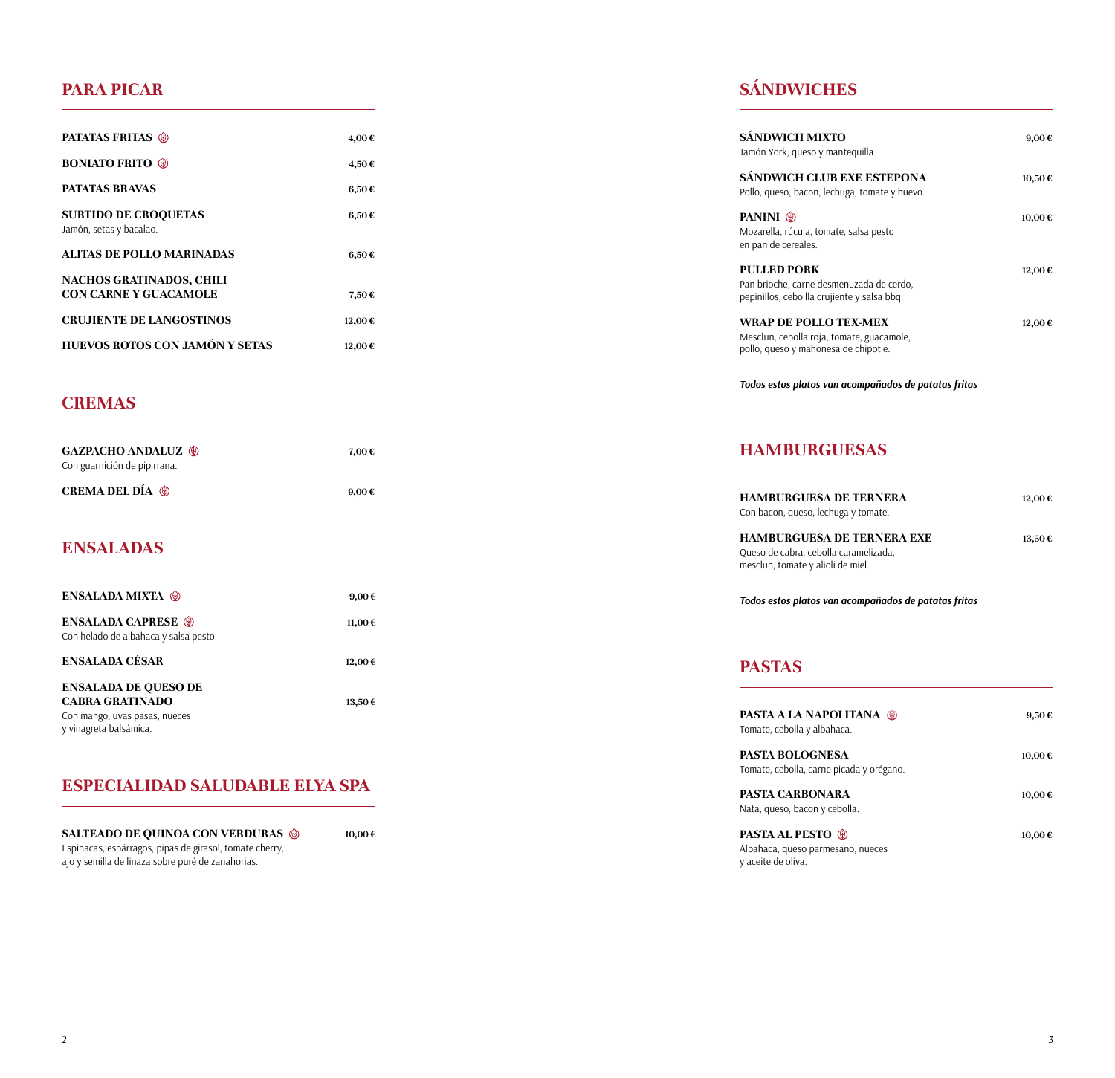#### **PARA PICAR**

| <b>PATATAS FRITAS</b> (*)                              | 4,00€      |
|--------------------------------------------------------|------------|
| <b>BONIATO FRITO (</b>                                 | 4,50€      |
| <b>PATATAS BRAVAS</b>                                  | $6,50 \in$ |
| <b>SURTIDO DE CROQUETAS</b><br>Jamón, setas y bacalao. | $6,50 \in$ |
| ALITAS DE POLLO MARINADAS                              | $6,50 \in$ |
| NACHOS GRATINADOS, CHILI                               |            |
| CON CARNE Y GUACAMOLE                                  | 7,50€      |
| <b>CRUJIENTE DE LANGOSTINOS</b>                        | 12,00€     |
| HUEVOS ROTOS CON JAMÓN Y SETAS                         | 12,00€     |
|                                                        |            |

## **CREMAS**

| <b>GAZPACHO ANDALUZ (*)</b>  | 7.00€      |
|------------------------------|------------|
| Con guarnición de pipirrana. |            |
| <b>CREMA DEL DÍA (*)</b>     | $9.00 \in$ |

#### **ENSALADAS**

| <b>ENSALADA MIXTA (0)</b>                                          | $9,00 \in$ |
|--------------------------------------------------------------------|------------|
| <b>ENSALADA CAPRESE ®</b><br>Con helado de albahaca y salsa pesto. | 11,00€     |
| ENSALADA CÉSAR                                                     | 12,00€     |
| <b>ENSALADA DE QUESO DE</b><br><b>CABRA GRATINADO</b>              | 13.50€     |
| Con mango, uvas pasas, nueces<br>y vinagreta balsámica.            |            |

## **ESPECIALIDAD SALUDABLE ELYA SPA**

**SALTEADO DE QUINOA CON VERDURAS 10,00 €**Espinacas, espárragos, pipas de girasol, tomate cherry, ajo y semilla de linaza sobre puré de zanahorias.

## **SÁNDWICHES**

| SÁNDWICH MIXTO<br>Jamón York, queso y mantequilla.                                                            | $9,00 \in$ |
|---------------------------------------------------------------------------------------------------------------|------------|
| SÁNDWICH CLUB EXE ESTEPONA<br>Pollo, queso, bacon, lechuga, tomate y huevo.                                   | 10,50€     |
| PANINI <sup>®</sup><br>Mozarella, rúcula, tomate, salsa pesto<br>en pan de cereales.                          | 10,00€     |
| <b>PULLED PORK</b><br>Pan brioche, carne desmenuzada de cerdo,<br>pepinillos, cebollla crujiente y salsa bbq. | 12,00€     |
| WRAP DE POLLO TEX-MEX<br>Mesclun, cebolla roja, tomate, guacamole,<br>pollo, queso y mahonesa de chipotle.    | 12,00€     |
| Todos estos platos van acompañados de patatas fritas                                                          |            |

## **HAMBURGUESAS**

| HAMBURGUESA DE TERNERA<br>Con bacon, queso, lechuga y tomate.                                            | 12.00€ |
|----------------------------------------------------------------------------------------------------------|--------|
| HAMBURGUESA DE TERNERA EXE<br>Queso de cabra, cebolla caramelizada,<br>mesclun, tomate y alioli de miel. | 13.50€ |
|                                                                                                          |        |

*Todos estos platos van acompañados de patatas fritas*

## **PASTAS**

| <b>PASTA A LA NAPOLITANA</b> (*)<br>Tomate, cebolla y albahaca.                      | $9.50 \in$ |
|--------------------------------------------------------------------------------------|------------|
| PASTA BOLOGNESA<br>Tomate, cebolla, carne picada y orégano.                          | 10.00€     |
| PASTA CARBONARA<br>Nata, queso, bacon y cebolla.                                     | 10.00€     |
| <b>PASTA AL PESTO (0)</b><br>Albahaca, queso parmesano, nueces<br>y aceite de oliva. | 10,00€     |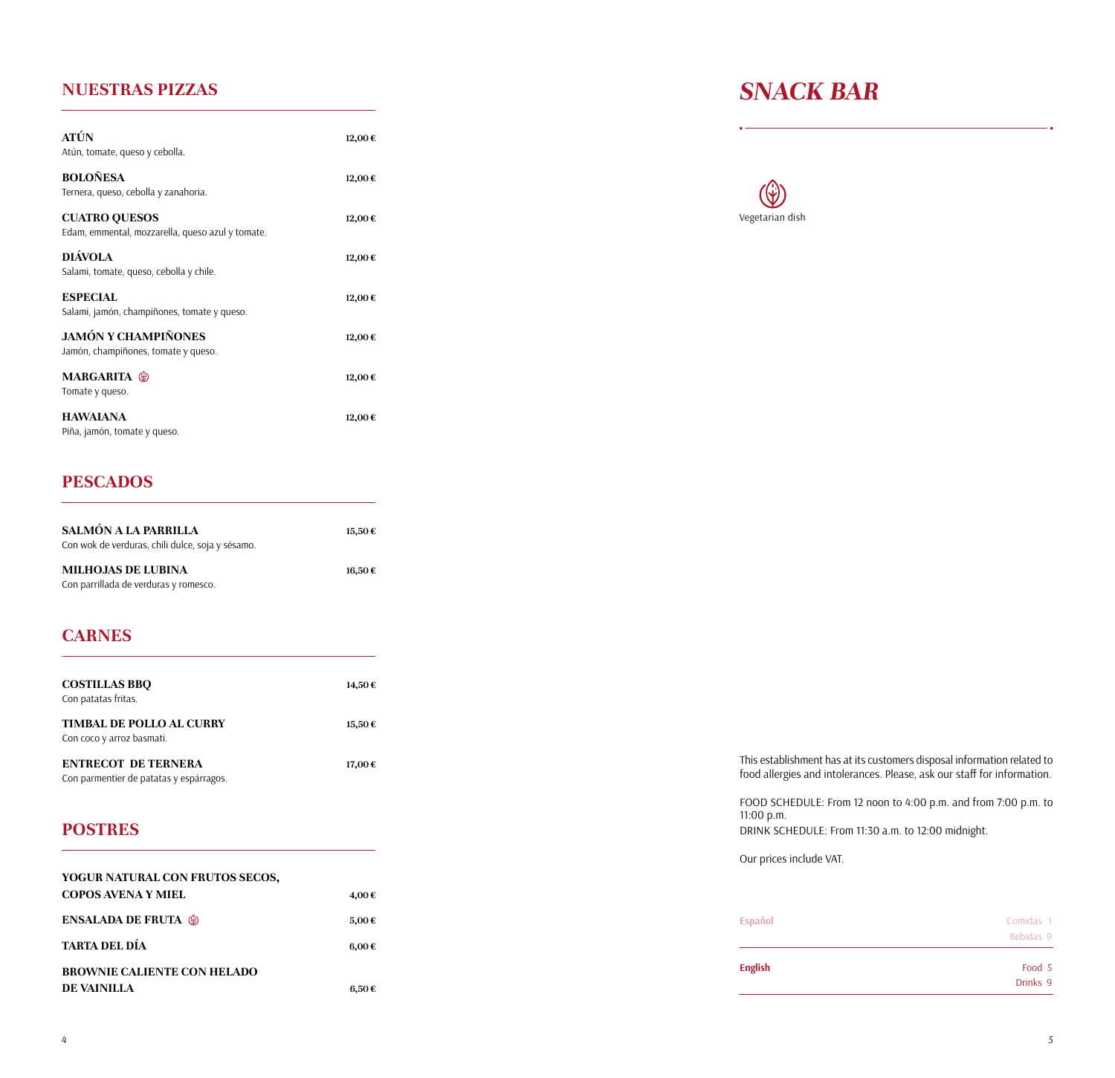#### **NUESTRAS PIZZAS**

| <b>ATÚN</b><br>Atún, tomate, queso y cebolla.                            | 12,00€ |
|--------------------------------------------------------------------------|--------|
| <b>BOLOÑESA</b><br>Ternera, queso, cebolla y zanahoria.                  | 12,00€ |
| <b>CUATRO QUESOS</b><br>Edam, emmental, mozzarella, queso azul y tomate. | 12,00€ |
| <b>DIÁVOLA</b><br>Salami, tomate, queso, cebolla y chile.                | 12,00€ |
| <b>ESPECIAL</b><br>Salami, jamón, champiñones, tomate y queso.           | 12,00€ |
| <b>JAMÓN Y CHAMPIÑONES</b><br>Jamón, champiñones, tomate y queso.        | 12,00€ |
| <b>MARGARITA</b> <sup>®</sup><br>Tomate y queso.                         | 12,00€ |
| <b>HAWAIANA</b><br>Piña, jamón, tomate y queso.                          | 12,00€ |

## *SNACK BAR*



## **PESCADOS**

| SALMÓN A LA PARRILLA<br>Con wok de verduras, chili dulce, soja y sésamo. | 15.50€ |
|--------------------------------------------------------------------------|--------|
| <b>MILHOJAS DE LUBINA</b><br>Con parrillada de verduras y romesco.       | 16.50€ |

## **CARNES**

| <b>COSTILLAS BBO</b><br>Con patatas fritas.                           | 14,50€ |
|-----------------------------------------------------------------------|--------|
| <b>TIMBAL DE POLLO AL CURRY</b><br>Con coco y arroz basmati.          | 15.50€ |
| <b>ENTRECOT DE TERNERA</b><br>Con parmentier de patatas y espárragos. | 17.00€ |

### **POSTRES**

| YOGUR NATURAL CON FRUTOS SECOS,    |                     |
|------------------------------------|---------------------|
| COPOS AVENA Y MIEL                 | 4.00€               |
| <b>ENSALADA DE FRUTA</b> (*)       | 5,00€               |
| <b>TARTA DEL DÍA</b>               | $6.00 \text{ } \in$ |
| <b>BROWNIE CALIENTE CON HELADO</b> |                     |
| DE VAINILLA                        | 6.50€               |

This establishment has at its customers disposal information related to food allergies and intolerances. Please, ask our staff for information.

FOOD SCHEDULE: From 12 noon to 4:00 p.m. and from 7:00 p.m. to 11:00 p.m.

DRINK SCHEDULE: From 11:30 a.m. to 12:00 midnight.

Our prices include VAT.

| <b>Español</b> | Comidas 1<br>Bebidas 9 |
|----------------|------------------------|
| <b>English</b> | Food 5                 |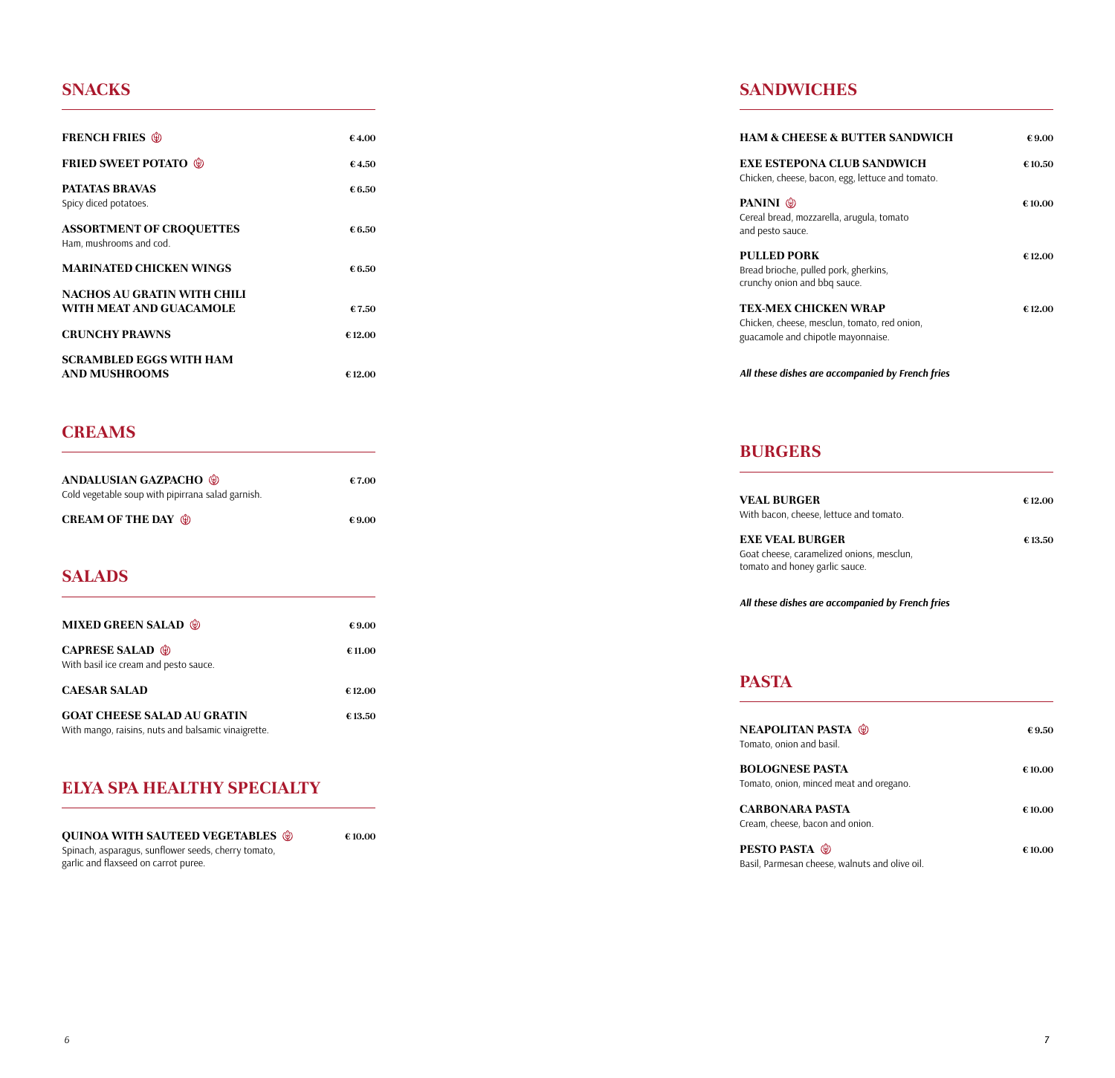#### **SNACKS**

| <b>SNACKS</b>                                                                                                                          |        |
|----------------------------------------------------------------------------------------------------------------------------------------|--------|
| <b>FRENCH FRIES</b>                                                                                                                    | €4.00  |
| <b>FRIED SWEET POTATO ©</b>                                                                                                            | €4.50  |
| <b>PATATAS BRAVAS</b><br>Spicy diced potatoes.                                                                                         | €6.50  |
| <b>ASSORTMENT OF CROQUETTES</b><br>Ham, mushrooms and cod.                                                                             | €6.50  |
| <b>MARINATED CHICKEN WINGS</b>                                                                                                         | €6.50  |
| NACHOS AU GRATIN WITH CHILI<br>WITH MEAT AND GUACAMOLE                                                                                 | €7.50  |
| <b>CRUNCHY PRAWNS</b>                                                                                                                  | €12.00 |
| SCRAMBLED EGGS WITH HAM<br><b>AND MUSHROOMS</b>                                                                                        | €12.00 |
| <b>CREAMS</b>                                                                                                                          |        |
| <b>ANDALUSIAN GAZPACHO @</b><br>Cold vegetable soup with pipirrana salad garnish.                                                      | €7.00  |
| <b>CREAM OF THE DAY (4)</b>                                                                                                            | €9.00  |
| <b>SALADS</b>                                                                                                                          |        |
| <b>MIXED GREEN SALAD (6)</b>                                                                                                           | €9.00  |
| <b>CAPRESE SALAD</b> (*)<br>With basil ice cream and pesto sauce.                                                                      | €11.00 |
| <b>CAESAR SALAD</b>                                                                                                                    | €12.00 |
| <b>GOAT CHEESE SALAD AU GRATIN</b><br>With mango, raisins, nuts and balsamic vinaigrette.                                              | €13.50 |
| <b>ELYA SPA HEALTHY SPECIALTY</b>                                                                                                      |        |
| <b>QUINOA WITH SAUTEED VEGETABLES ♦</b><br>Spinach, asparagus, sunflower seeds, cherry tomato,<br>garlic and flaxseed on carrot puree. | €10.00 |
|                                                                                                                                        |        |
|                                                                                                                                        |        |
|                                                                                                                                        |        |
| 6                                                                                                                                      |        |

#### **CREAMS**

| <b>CREAM OF THE DAY <math>\circledast</math></b>  | €9.00 | <b>EXE VEAL BURGER</b>                                        |
|---------------------------------------------------|-------|---------------------------------------------------------------|
| Cold vegetable soup with pipirrana salad garnish. |       | <b>VEAL BURGER</b><br>With bacon, cheese, lettuce and tomato. |
| <b>ANDALUSIAN GAZPACHO O</b>                      | €7.00 |                                                               |
|                                                   |       |                                                               |

#### **SALADS**

| <b>MIXED GREEN SALAD ®</b>                                                                | €9.00  |
|-------------------------------------------------------------------------------------------|--------|
| <b>CAPRESE SALAD @</b><br>With basil ice cream and pesto sauce.                           | €11.00 |
| <b>CAESAR SALAD</b>                                                                       | €12.00 |
| <b>GOAT CHEESE SALAD AU GRATIN</b><br>With mango, raisins, nuts and balsamic vinaigrette. | €13.50 |

#### **ELYA SPA HEALTHY SPECIALTY**

#### **SANDWICHES**

| <b>HAM &amp; CHEESE &amp; BUTTER SANDWICH</b>                                                              | €9.00  |
|------------------------------------------------------------------------------------------------------------|--------|
| <b>EXE ESTEPONA CLUB SANDWICH</b><br>Chicken, cheese, bacon, egg, lettuce and tomato.                      | €10.50 |
| PANINI (®)<br>Cereal bread, mozzarella, arugula, tomato<br>and pesto sauce.                                | €10.00 |
| <b>PULLED PORK</b><br>Bread brioche, pulled pork, gherkins,<br>crunchy onion and bbg sauce.                | €12.00 |
| TEX-MEX CHICKEN WRAP<br>Chicken, cheese, mesclun, tomato, red onion,<br>guacamole and chipotle mayonnaise. | €12.00 |
| All these dishes are accompanied by French fries                                                           |        |

## **BURGERS**

| <b>VEAL BURGER</b><br>With bacon, cheese, lettuce and tomato.                                         | €12.00  |
|-------------------------------------------------------------------------------------------------------|---------|
| <b>EXE VEAL BURGER</b><br>Goat cheese, caramelized onions, mesclun,<br>tomato and honey garlic sauce. | € 13.50 |

*All these dishes are accompanied by French fries*

#### **PASTA**

| <b>NEAPOLITAN PASTA (*)</b><br>Tomato, onion and basil.                  | €9.50  |
|--------------------------------------------------------------------------|--------|
| <b>BOLOGNESE PASTA</b><br>Tomato, onion, minced meat and oregano.        | €10.00 |
| CARBONARA PASTA<br>Cream, cheese, bacon and onion.                       | €10.00 |
| <b>PESTO PASTA (®)</b><br>Basil, Parmesan cheese, walnuts and olive oil. | €10.00 |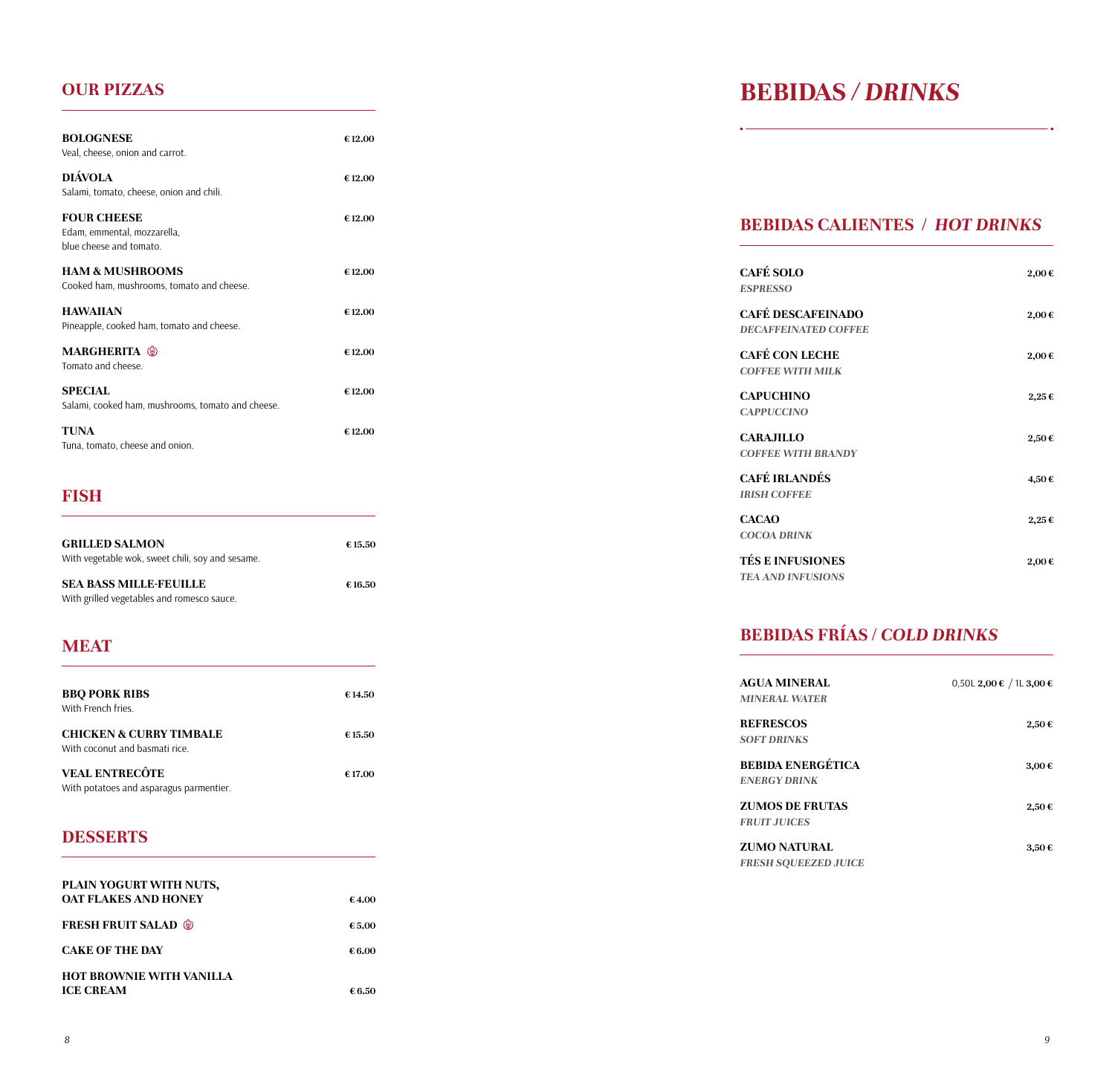## **OUR PIZZAS**

| <b>BOLOGNESE</b><br>Veal, cheese, onion and carrot.                          | €12.00 |
|------------------------------------------------------------------------------|--------|
| <b>DIÁVOLA</b><br>Salami, tomato, cheese, onion and chili.                   | €12.00 |
| <b>FOUR CHEESE</b><br>Edam, emmental, mozzarella,<br>blue cheese and tomato. | €12.00 |
| <b>HAM &amp; MUSHROOMS</b><br>Cooked ham, mushrooms, tomato and cheese.      | €12.00 |
| <b>HAWAIIAN</b><br>Pineapple, cooked ham, tomato and cheese.                 | €12.00 |
| <b>MARGHERITA</b> (*)<br>Tomato and cheese.                                  | €12.00 |
| <b>SPECIAL</b><br>Salami, cooked ham, mushrooms, tomato and cheese.          | €12.00 |
| <b>TUNA</b><br>Tuna, tomato, cheese and onion.                               | €12.00 |

## **FISH**

| <b>GRILLED SALMON</b><br>With vegetable wok, sweet chili, soy and sesame.   | €15.50 |
|-----------------------------------------------------------------------------|--------|
| <b>SEA BASS MILLE-FEUILLE</b><br>With grilled vegetables and romesco sauce. | €16.50 |

## **MEAT**

| <b>BBO PORK RIBS</b><br>With French fries.                           | €14.50  |
|----------------------------------------------------------------------|---------|
| <b>CHICKEN &amp; CURRY TIMBALE</b><br>With coconut and basmati rice. | € 15.50 |
| <b>VEAL ENTRECÔTE</b><br>With potatoes and asparagus parmentier.     | €17.00  |

## **DESSERTS**

| PLAIN YOGURT WITH NUTS,<br><b>OAT FLAKES AND HONEY</b> | €4.00  |
|--------------------------------------------------------|--------|
| <b>FRESH FRUIT SALAD (6)</b>                           | €5.00  |
| <b>CAKE OF THE DAY</b>                                 | € 6.00 |
| <b>HOT BROWNIE WITH VANILLA</b><br><b>ICE CREAM</b>    | € 6.50 |

# **BEBIDAS** */ DRINKS*

## **BEBIDAS CALIENTES /** *HOT DRINKS*

| <b>CAFÉ SOLO</b><br><b>ESPRESSO</b>                     | 2,00€ |
|---------------------------------------------------------|-------|
| <b>CAFÉ DESCAFEINADO</b><br><b>DECAFFEINATED COFFEE</b> | 2,00€ |
| <b>CAFÉ CON LECHE</b><br><b>COFFEE WITH MILK</b>        | 2,00€ |
| <b>CAPUCHINO</b><br><b>CAPPUCCINO</b>                   | 2,25€ |
| <b>CARAJILLO</b><br><b>COFFEE WITH BRANDY</b>           | 2,50€ |
| <b>CAFÉ IRLANDÉS</b><br><b>IRISH COFFEE</b>             | 4,50€ |
| <b>CACAO</b><br><b>COCOA DRINK</b>                      | 2,25€ |
| <b>TÉS E INFUSIONES</b><br><b>TEA AND INFUSIONS</b>     | 2,00€ |

## **BEBIDAS FRÍAS /** *COLD DRINKS*

| <b>AGUA MINERAL</b><br><b>MINERAL WATER</b>        | $0,50$ L 2,00 € / 1L 3,00 € |
|----------------------------------------------------|-----------------------------|
| <b>REFRESCOS</b><br><b>SOFT DRINKS</b>             | 2,50€                       |
| <b>BEBIDA ENERGÉTICA</b><br><b>ENERGY DRINK</b>    | 3,00€                       |
| <b>ZUMOS DE FRUTAS</b><br><b>FRUIT JUICES</b>      | 2.50€                       |
| <b>ZUMO NATURAL</b><br><b>FRESH SOUEEZED JUICE</b> | 3,50€                       |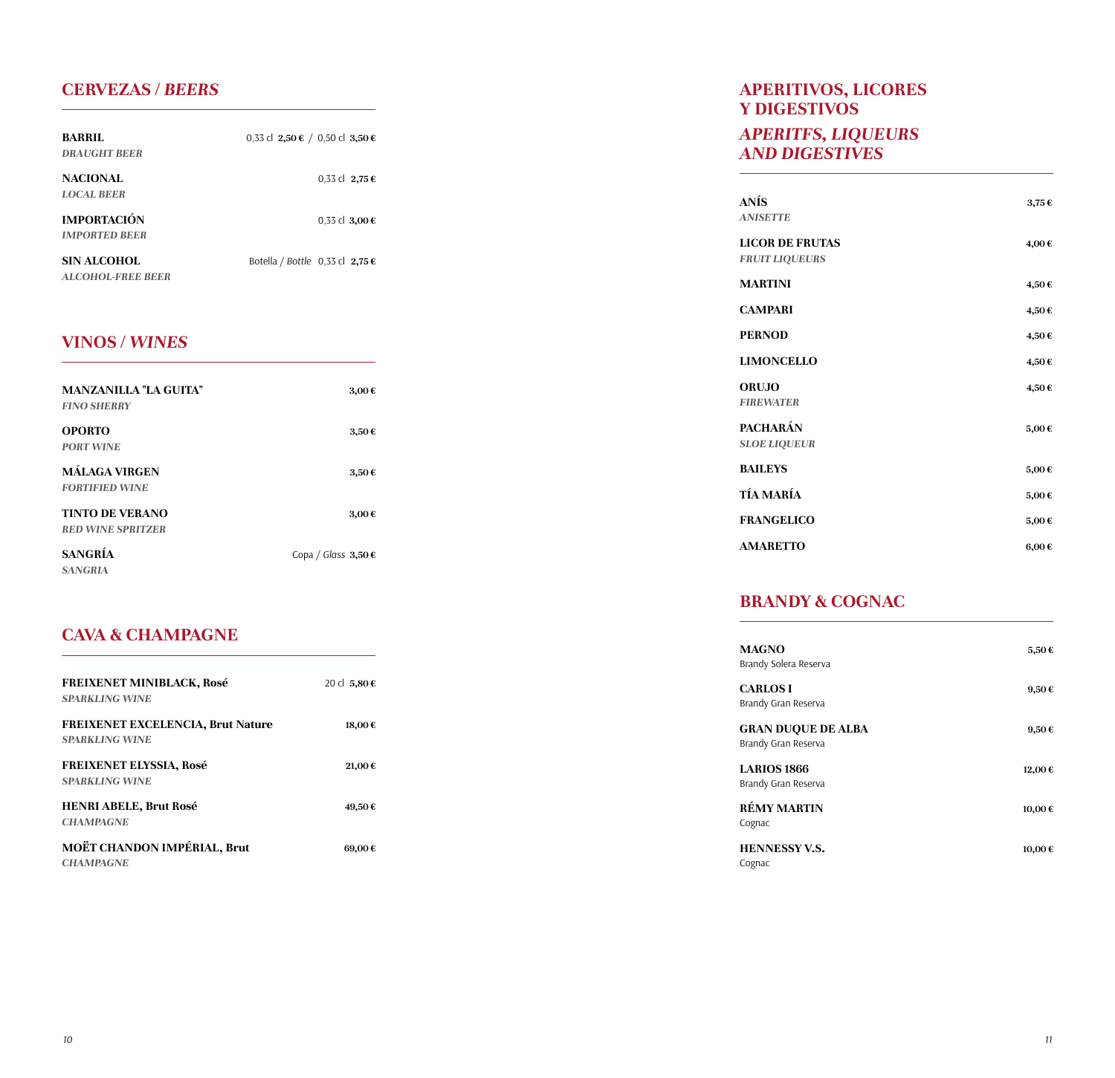## **CERVEZAS /** *BEERS*

| <b>BARRIL</b><br><b>DRAUGHT BEER</b>       | 0,33 cl 2,50 € / 0,50 cl 3,50 € |
|--------------------------------------------|---------------------------------|
| <b>NACIONAL</b><br><b>LOCAL BEER</b>       | $0,33$ cl 2,75 €                |
| <b>IMPORTACIÓN</b><br><b>IMPORTED BEER</b> | 0.33 cl 3.00 €                  |
| SIN ALCOHOL<br><b>ALCOHOL-FREE BEER</b>    | Botella / Bottle 0,33 cl 2,75 € |

## **VINOS /** *WINES*

| <b>MANZANILLA "LA GUITA"</b> | 3,00€                   |
|------------------------------|-------------------------|
| <b>FINO SHERRY</b>           |                         |
| <b>OPORTO</b>                | 3,50€                   |
| <b>PORT WINE</b>             |                         |
| <b>MÁLAGA VIRGEN</b>         | 3,50€                   |
| <b>FORTIFIED WINE</b>        |                         |
| <b>TINTO DE VERANO</b>       | 3,00€                   |
| <b>RED WINE SPRITZER</b>     |                         |
| <b>SANGRÍA</b>               | Copa / Glass $3,50 \in$ |
| <b>SANGRIA</b>               |                         |

## **CAVA & CHAMPAGNE**

| <b>FREIXENET MINIBLACK, Rosé</b><br><b>SPARKLING WINE</b>         | 20 cl 5,80 € |
|-------------------------------------------------------------------|--------------|
| <b>FREIXENET EXCELENCIA, Brut Nature</b><br><b>SPARKLING WINE</b> | 18,00€       |
| <b>FREIXENET ELYSSIA, Rosé</b><br><b>SPARKLING WINE</b>           | 21,00€       |
| <b>HENRI ABELE, Brut Rosé</b><br><b>CHAMPAGNE</b>                 | 49,50€       |
| MOËT CHANDON IMPÉRIAL, Brut<br><b>CHAMPAGNE</b>                   | 69.00€       |

## **APERITIVOS, LICORES Y DIGESTIVOS**

#### *APERITFS, LIQUEURS AND DIGESTIVES*

| <b>ANÍS</b><br><b>ANISETTE</b>                  | 3,75€      |
|-------------------------------------------------|------------|
| <b>LICOR DE FRUTAS</b><br><b>FRUIT LIQUEURS</b> | 4,00€      |
| <b>MARTINI</b>                                  | 4,50€      |
| <b>CAMPARI</b>                                  | 4,50€      |
| <b>PERNOD</b>                                   | 4,50€      |
| <b>LIMONCELLO</b>                               | 4,50€      |
| ORUJO<br><b>FIREWATER</b>                       | 4,50€      |
| <b>PACHARÁN</b><br><b>SLOE LIQUEUR</b>          | 5,00€      |
| <b>BAILEYS</b>                                  | 5,00€      |
| <b>TÍA MARÍA</b>                                | 5,00€      |
| <b>FRANGELICO</b>                               | 5,00€      |
| <b>AMARETTO</b>                                 | $6,00 \in$ |

## **BRANDY & COGNAC**

| 5,50€      |
|------------|
| 9,50€      |
| $9,50 \in$ |
| 12,00€     |
| 10,00€     |
| 10,00€     |
|            |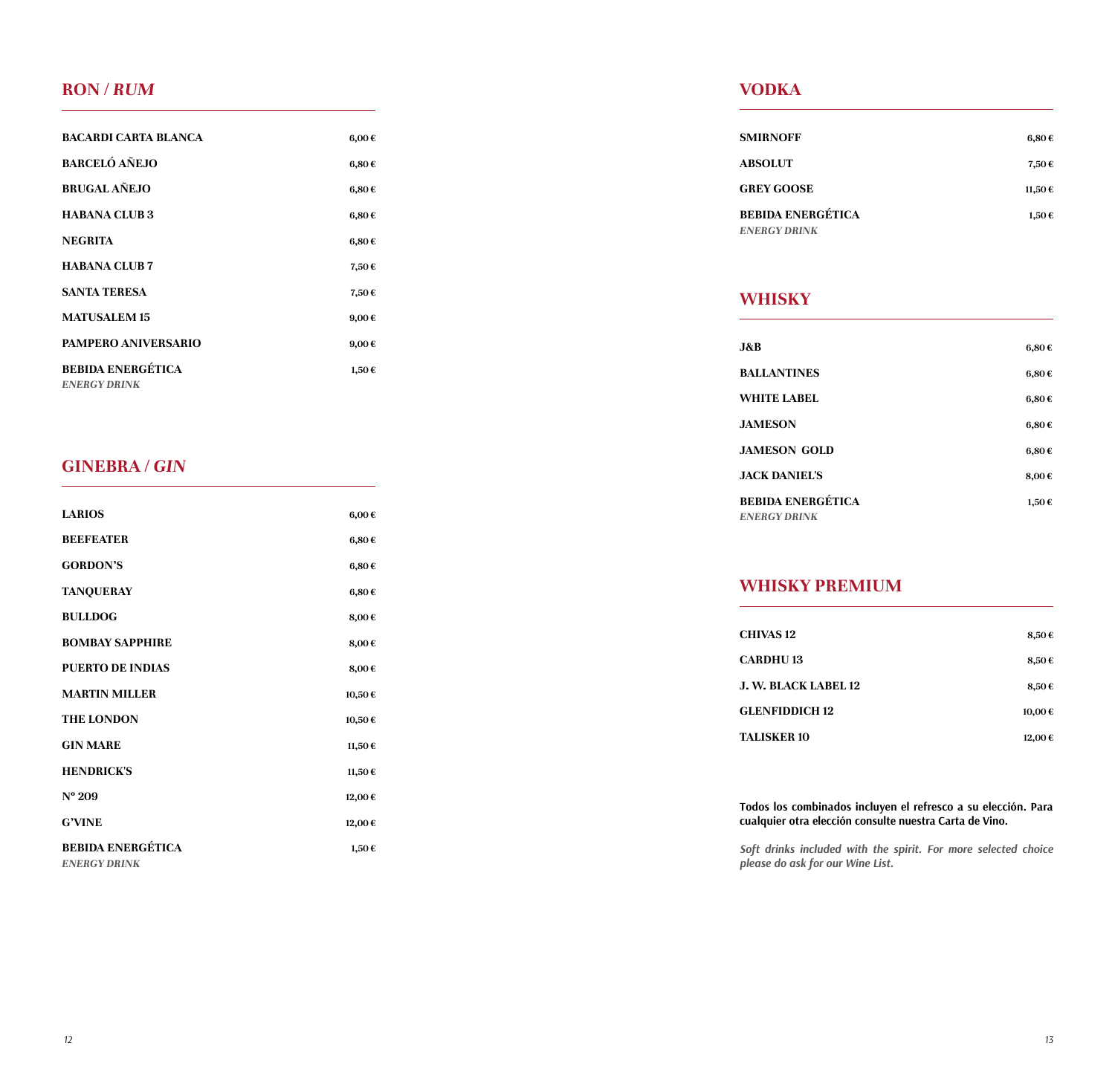## **RON /** *RUM*

| <b>BACARDI CARTA BLANCA</b>                     | 6,00€      |
|-------------------------------------------------|------------|
| <b>BARCELÓ AÑEJO</b>                            | 6,80€      |
| <b>BRUGAL AÑEJO</b>                             | 6,80€      |
| <b>HABANA CLUB 3</b>                            | 6,80€      |
| <b>NEGRITA</b>                                  | 6,80€      |
| <b>HABANA CLUB 7</b>                            | 7,50€      |
| <b>SANTA TERESA</b>                             | 7,50€      |
| <b>MATUSALEM 15</b>                             | $9,00 \in$ |
| <b>PAMPERO ANIVERSARIO</b>                      | $9,00 \in$ |
| <b>BEBIDA ENERGÉTICA</b><br><b>ENERGY DRINK</b> | 1,50€      |

## **GINEBRA /** *GIN*

| <b>LARIOS</b>                                   | 6,00€  |
|-------------------------------------------------|--------|
| <b>BEEFEATER</b>                                | 6,80€  |
| <b>GORDON'S</b>                                 | 6,80€  |
| <b>TANQUERAY</b>                                | 6,80€  |
| <b>BULLDOG</b>                                  | 8,00€  |
| <b>BOMBAY SAPPHIRE</b>                          | 8,00€  |
| <b>PUERTO DE INDIAS</b>                         | 8,00€  |
| <b>MARTIN MILLER</b>                            | 10,50€ |
| <b>THE LONDON</b>                               | 10,50€ |
| <b>GIN MARE</b>                                 | 11,50€ |
| <b>HENDRICK'S</b>                               | 11,50€ |
| $N^{\circ}$ 209                                 | 12,00€ |
| <b>G'VINE</b>                                   | 12,00€ |
| <b>BEBIDA ENERGÉTICA</b><br><b>ENERGY DRINK</b> | 1,50€  |
|                                                 |        |

## **VODKA**

| <b>SMIRNOFF</b>                                 | 6,80€  |
|-------------------------------------------------|--------|
| <b>ABSOLUT</b>                                  | 7,50€  |
| <b>GREY GOOSE</b>                               | 11,50€ |
| <b>BEBIDA ENERGÉTICA</b><br><b>ENERGY DRINK</b> | 1,50€  |

## **WHISKY**

| J&B                                             | 6,80€ |
|-------------------------------------------------|-------|
| <b>BALLANTINES</b>                              | 6,80€ |
| WHITE LABEL                                     | 6,80€ |
| <b>JAMESON</b>                                  | 6,80€ |
| <b>JAMESON GOLD</b>                             | 6,80€ |
| <b>JACK DANIEL'S</b>                            | 8,00€ |
| <b>BEBIDA ENERGÉTICA</b><br><b>ENERGY DRINK</b> | 1,50€ |

## **WHISKY PREMIUM**

| <b>CHIVAS 12</b>      | 8,50€  |
|-----------------------|--------|
| <b>CARDHU 13</b>      | 8,50€  |
| J. W. BLACK LABEL 12  | 8,50€  |
| <b>GLENFIDDICH 12</b> | 10,00€ |
| TALISKER 10           | 12,00€ |

#### **Todos los combinados incluyen el refresco a su elección. Para cualquier otra elección consulte nuestra Carta de Vino.**

*Soft drinks included with the spirit. For more selected choice please do ask for our Wine List.*